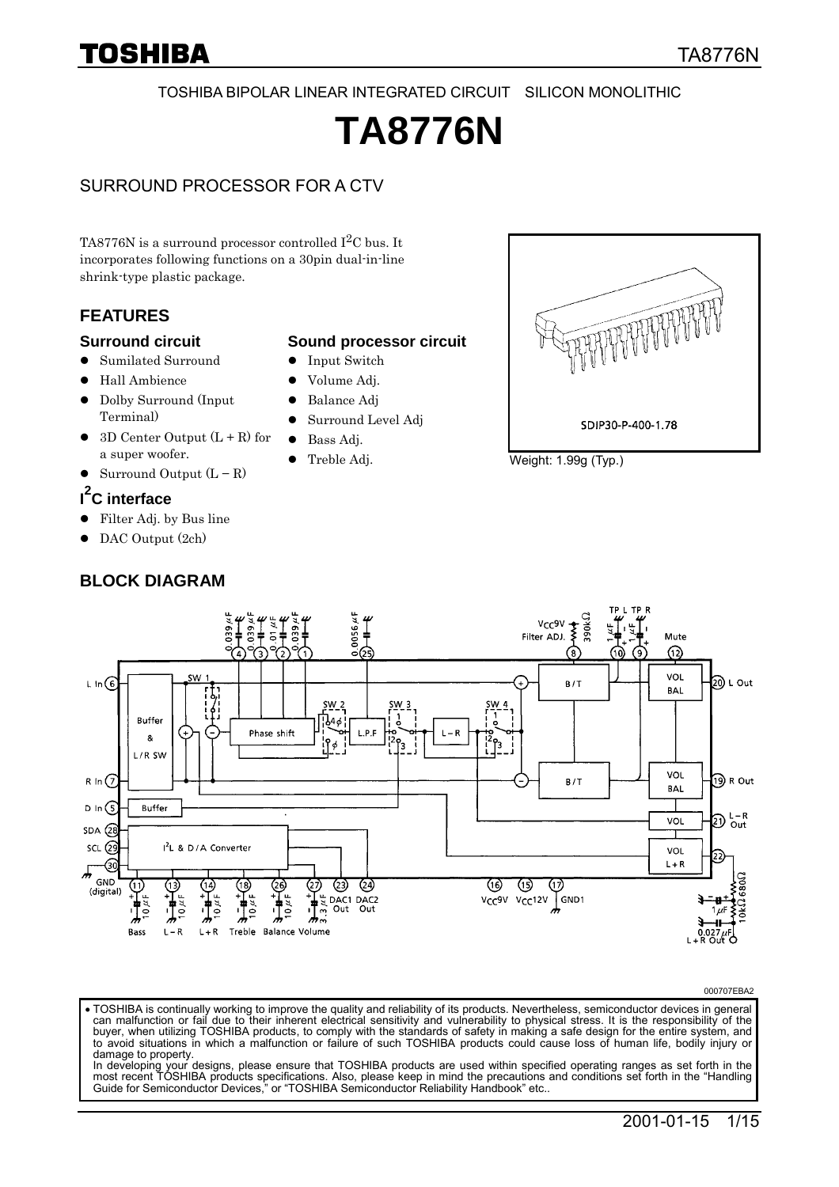#### TOSHIBA BIPOLAR LINEAR INTEGRATED CIRCUIT SILICON MONOLITHIC

# **TA8776N**

#### SURROUND PROCESSOR FOR A CTV

TA8776N is a surround processor controlled  $I<sup>2</sup>C$  bus. It incorporates following functions on a 30pin dual-in-line shrink-type plastic package.

#### **FEATURES**

#### **Surround circuit**

- -Sumilated Surround
- $\bullet$  Hall Ambience
- $\bullet$  Dolby Surround (Input Terminal)
- $\bullet$  3D Center Output  $(L + R)$  for a super woofer.
- $\bullet$  Surround Output (L − R)

### **I 2 C interface**

- Filter Adj. by Bus line
- DAC Output (2ch)

#### **BLOCK DIAGRAM**

#### **Sound processor circuit**

- $\bullet$  Input Switch
- $\bullet$  Volume Adj.
- -Balance Adj
- -Surround Level Adj
- -Bass Adj.
- $\bullet$  Treble Adj.



Weight: 1.99g (Typ.)



#### 000707EBA2

-TOSHIBA is continually working to improve the quality and reliability of its products. Nevertheless, semiconductor devices in general can malfunction or fail due to their inherent electrical sensitivity and vulnerability to physical stress. It is the responsibility of the buyer, when utilizing TOSHIBA products, to comply with the standards of safety in making a safe design for the entire system, and to avoid situations in which a malfunction or failure of such TOSHIBA products could cause loss of human life, bodily injury or damage to property.

In developing your designs, please ensure that TOSHIBA products are used within specified operating ranges as set forth in the most recent TOSHIBA products specifications. Also, please keep in mind the precautions and conditions set forth in the "Handling Guide for Semiconductor Devices," or "TOSHIBA Semiconductor Reliability Handbook" etc..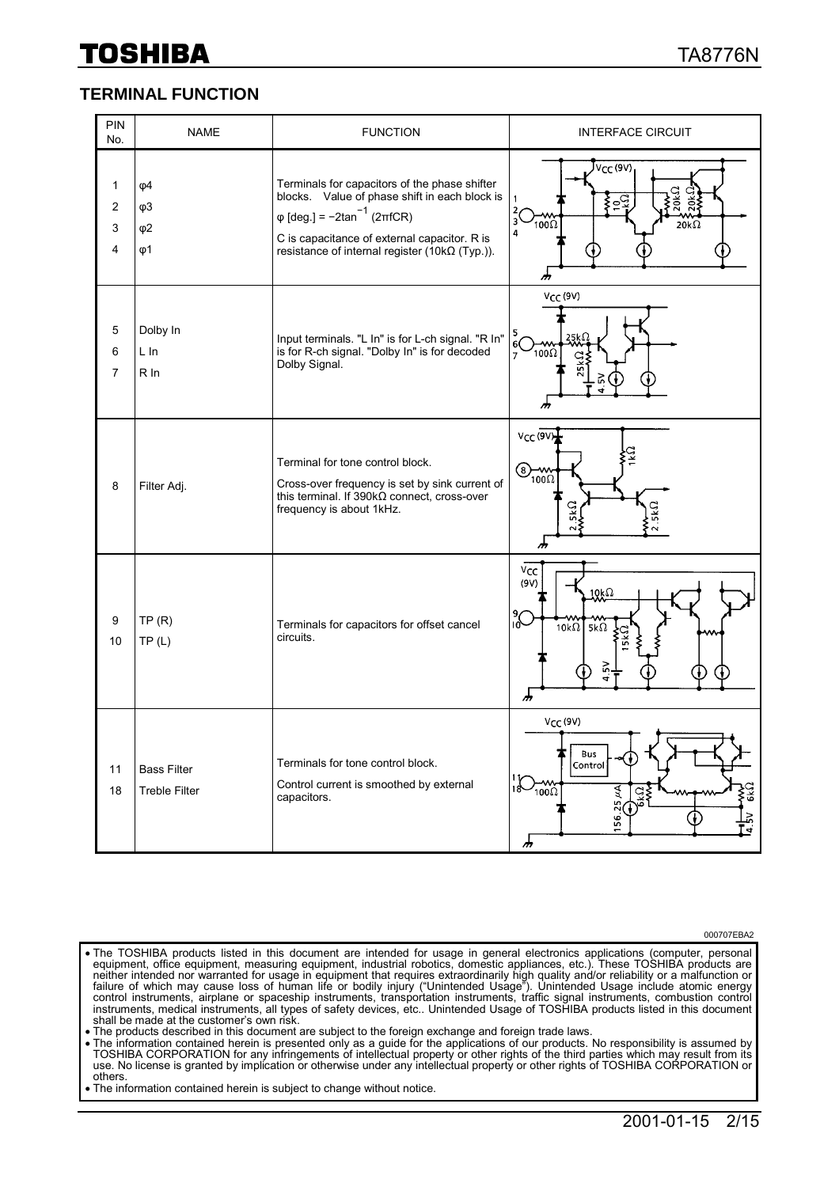#### **TERMINAL FUNCTION**

| PIN<br>No.                  | <b>NAME</b>                                              | <b>FUNCTION</b>                                                                                                                                                                                                                                        | <b>INTERFACE CIRCUIT</b>                                                                                |
|-----------------------------|----------------------------------------------------------|--------------------------------------------------------------------------------------------------------------------------------------------------------------------------------------------------------------------------------------------------------|---------------------------------------------------------------------------------------------------------|
| $\mathbf{1}$<br>2<br>3<br>4 | $\varphi$ 4<br>$\varphi$ 3<br>$\varphi$ 2<br>$\varphi$ 1 | Terminals for capacitors of the phase shifter<br>blocks. Value of phase shift in each block is<br>$\varphi$ [deg.] = $-2\tan^{-1}(2\pi fCR)$<br>C is capacitance of external capacitor. R is<br>resistance of internal register (10 $k\Omega$ (Typ.)). | V <sub>CC</sub> (9V)<br>20kΩ<br>220kS<br>$\frac{5}{2}$<br>3'<br>$100\Omega$<br>$20k\Omega$<br>4<br>m    |
| 5<br>6<br>$\overline{7}$    | Dolby In<br>L In<br>R In                                 | Input terminals. "L In" is for L-ch signal. "R In"<br>is for R-ch signal. "Dolby In" is for decoded<br>Dolby Signal.                                                                                                                                   | $V_{CC}$ (9V)<br>$\frac{5}{6}$<br>$100\Omega$<br>$\overline{7}$                                         |
| 8                           | Filter Adj.                                              | Terminal for tone control block.<br>Cross-over frequency is set by sink current of<br>this terminal. If $390k\Omega$ connect, cross-over<br>frequency is about 1kHz.                                                                                   | V <sub>CC</sub> (9V)<br>$\bigotimes_{100\Omega}$<br>5kΩ<br>ሐ                                            |
| 9<br>10                     | TP(R)<br>TP(L)                                           | Terminals for capacitors for offset cancel<br>circuits.                                                                                                                                                                                                | $v_{\rm CC}$<br>(9V)<br>$10k\Omega$<br>$\rm C_{01}^9$<br>10k $\Omega$<br>$5k\Omega$<br>ኡ                |
| 11<br>18                    | <b>Bass Filter</b><br><b>Treble Filter</b>               | Terminals for tone control block.<br>Control current is smoothed by external<br>capacitors.                                                                                                                                                            | V <sub>CC</sub> (9V)<br>Bus<br>Control<br>$\sum_{1000}$<br><b>GKQ</b><br>₹<br>ž<br><u>وم</u><br>٠,<br>m |

000707EBA2

- The TOSHIBA products listed in this document are intended for usage in general electronics applications (computer, personal equipment, office equipment, measuring equipment, industrial robotics, domestic appliances, etc.). neither intended nor warranted for usage in equipment that requires extraordinarily high quality and/or reliability or a malfunction or failure of which may cause loss of human life or bodily injury ("Unintended Usage"). Unintended Usage include atomic energy<br>control instruments, airplane or spaceship instruments, transportation instruments, traffic signal instruments, medical instruments, all types of safety devices, etc.. Unintended Usage of TOSHIBA products listed in this document shall be made at the customer's own risk.
- The products described in this document are subject to the foreign exchange and foreign trade laws.<br>• The information contained herein is presented only as a guide for the applications of our products. No responsibility
- TOSHIBA CORPORATION for any infringements of intellectual property or other rights of the third parties which may result from its<br>use. No license is granted by implication or otherwise under any intellectual property or ot others.
- -The information contained herein is subject to change without notice.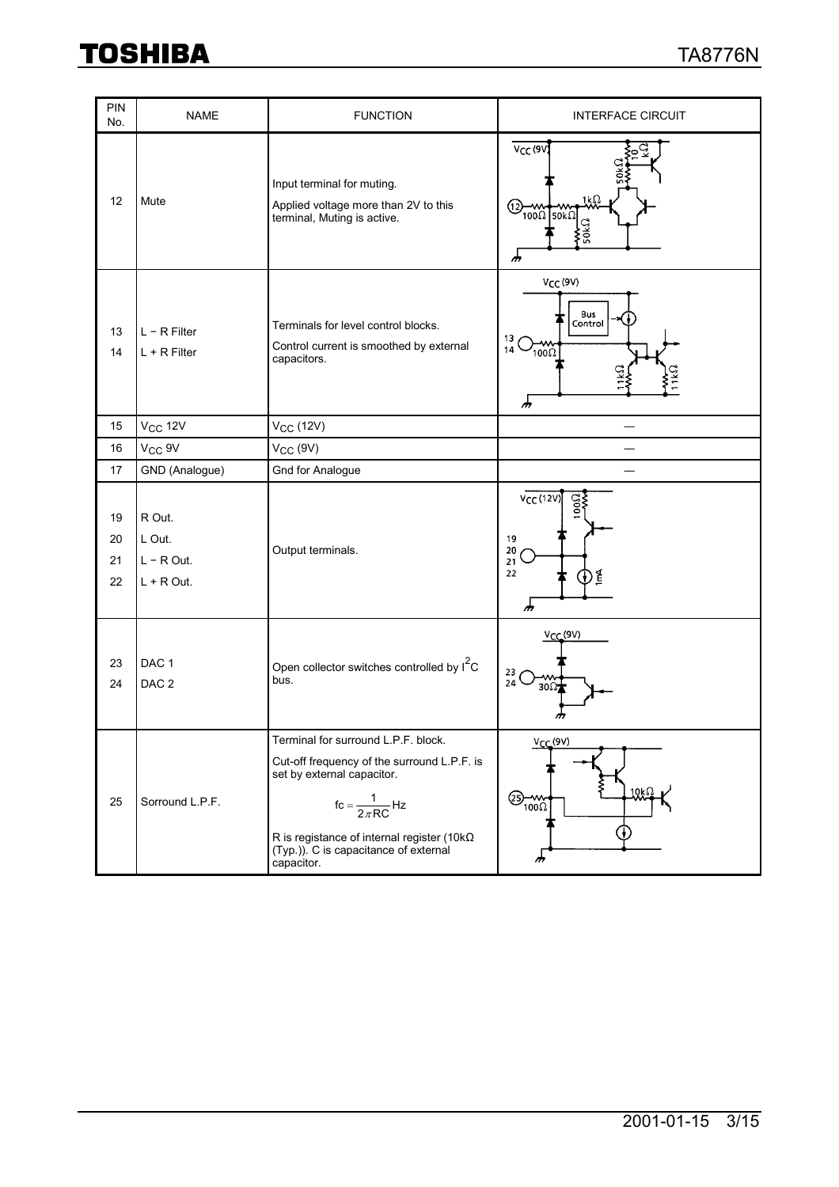| PIN<br>No.           | <b>NAME</b>                                      | <b>FUNCTION</b>                                                                                                                                                                                                                                                                  | <b>INTERFACE CIRCUIT</b>                                                                    |
|----------------------|--------------------------------------------------|----------------------------------------------------------------------------------------------------------------------------------------------------------------------------------------------------------------------------------------------------------------------------------|---------------------------------------------------------------------------------------------|
| 12                   | Mute                                             | Input terminal for muting.<br>Applied voltage more than 2V to this<br>terminal, Muting is active.                                                                                                                                                                                | V <sub>CC</sub> (9V)<br>1kΩ<br>-<br>(12)<br>$\frac{1}{100\Omega}$ 50k $\Omega$<br>50kΩ<br>୷ |
| 13<br>14             | $L - R$ Filter<br>$L + R$ Filter                 | Terminals for level control blocks.<br>Control current is smoothed by external<br>capacitors.                                                                                                                                                                                    | V <sub>CC</sub> (9V)<br>Bus<br>Control<br>13<br>$\sum_{100}$<br>14<br>୍ର<br>ሑ               |
| 15                   | <b>V<sub>CC</sub></b> 12V                        | $V_{CC}$ (12V)                                                                                                                                                                                                                                                                   |                                                                                             |
| 16                   | V <sub>CC</sub> 9V                               | $V_{CC}$ (9V)                                                                                                                                                                                                                                                                    |                                                                                             |
| 17                   | GND (Analogue)                                   | <b>Gnd for Analogue</b>                                                                                                                                                                                                                                                          |                                                                                             |
| 19<br>20<br>21<br>22 | R Out.<br>L Out.<br>$L - R$ Out.<br>$L + R$ Out. | Output terminals.                                                                                                                                                                                                                                                                | $VCC$ (12V)<br>$\mathbf{S}$<br>19<br>20<br>21<br>22<br>١É<br>₩<br>ሑ                         |
| 23<br>24             | DAC <sub>1</sub><br>DAC <sub>2</sub>             | Open collector switches controlled by I <sup>2</sup> C<br>bus.                                                                                                                                                                                                                   | $V_{CC}(9V)$<br>23<br>24<br>30 <sub>Ω</sub>                                                 |
| 25                   | Sorround L.P.F.                                  | Terminal for surround L.P.F. block.<br>Cut-off frequency of the surround L.P.F. is<br>set by external capacitor.<br>$\text{fc} = \frac{1}{2\pi \text{RC}} \text{Hz}$<br>R is registance of internal register (10k $\Omega$<br>(Typ.)) C is capacitance of external<br>capacitor. | $V_{CC}(9V)$<br>$10k\Omega$<br>$\bigotimes_{100}\bigotimes$<br>m                            |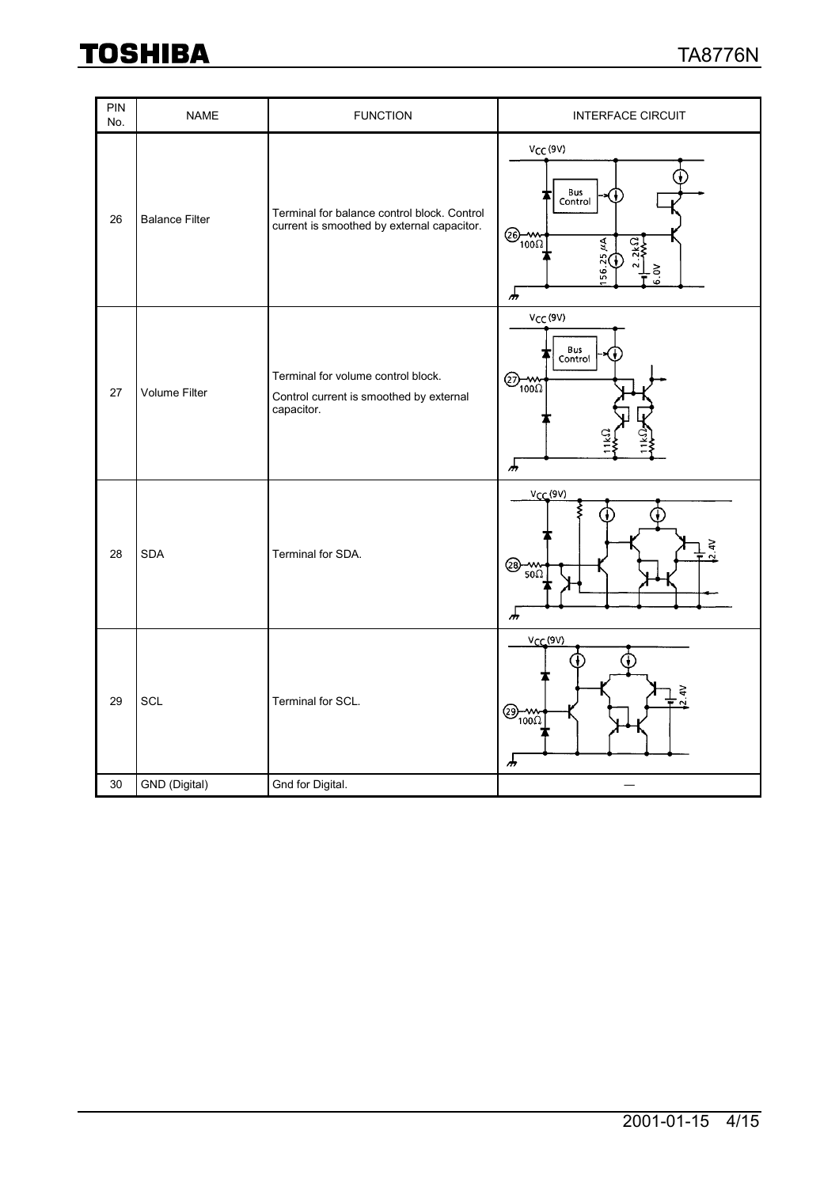| PIN<br>No. | <b>NAME</b>           | <b>FUNCTION</b>                                                                             | <b>INTERFACE CIRCUIT</b>                                                                                   |
|------------|-----------------------|---------------------------------------------------------------------------------------------|------------------------------------------------------------------------------------------------------------|
| 26         | <b>Balance Filter</b> | Terminal for balance control block. Control<br>current is smoothed by external capacitor.   | $V_{CC}$ (9V)<br>Bus<br>Control<br>$\bigotimes_{100\Omega}$<br>Ãή<br>$2k\Omega$<br>25,<br>6.0V<br>56<br>சு |
| 27         | Volume Filter         | Terminal for volume control block.<br>Control current is smoothed by external<br>capacitor. | $V_{CC}$ (9V)<br>Bus<br>Control<br>$\bigotimes_{100\Omega}$<br>$\sqrt{\frac{1}{2}}$                        |
| 28         | <b>SDA</b>            | Terminal for SDA.                                                                           | $V_{CC}(9V)$<br>$\frac{1}{2}$<br>⊗<br>$50\Omega$<br>௬                                                      |
| 29         | SCL                   | Terminal for SCL.                                                                           | $V_{CC}(9V)$<br>2.4V<br>$\bigotimes_{100} 1$<br>ሑ                                                          |
| 30         | GND (Digital)         | Gnd for Digital.                                                                            |                                                                                                            |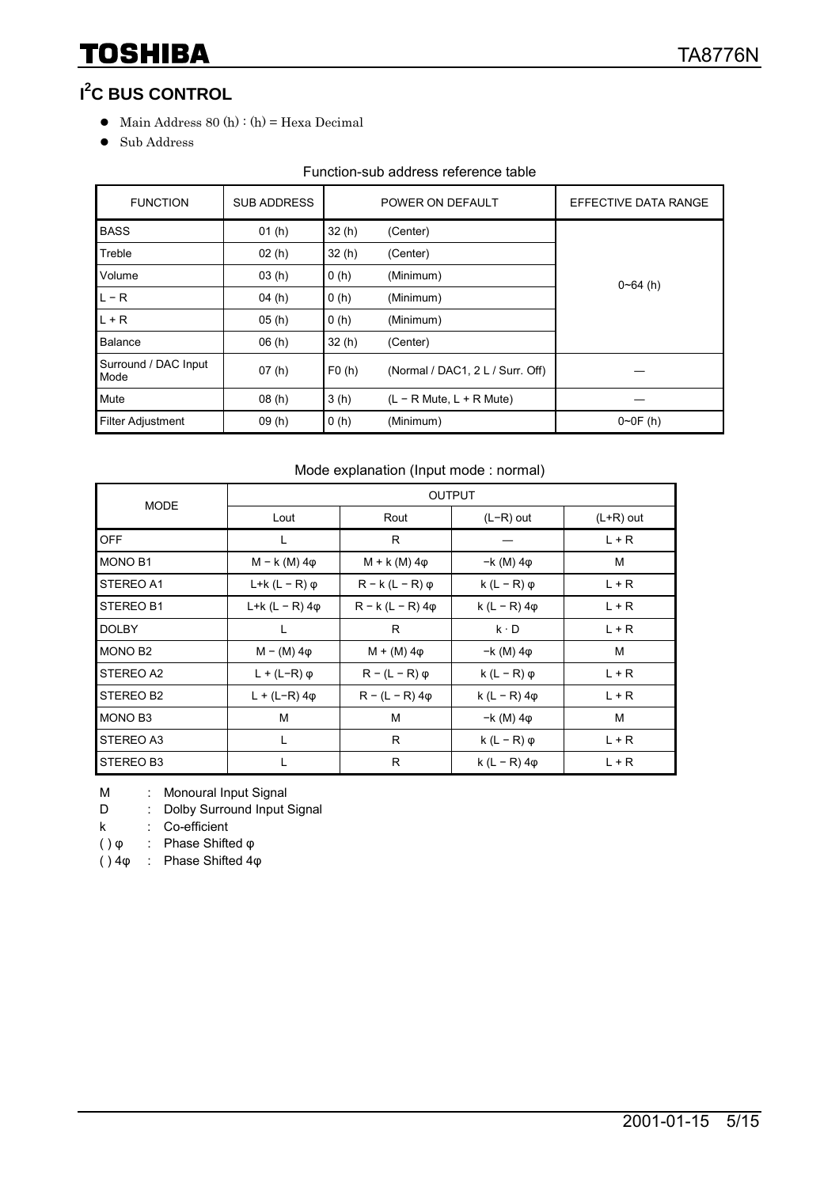### **I 2 C BUS CONTROL**

- $\bullet$  Main Address 80 (h) : (h) = Hexa Decimal
- **•** Sub Address

#### Function-sub address reference table

| <b>FUNCTION</b>              | <b>SUB ADDRESS</b> |                   | POWER ON DEFAULT                 | EFFECTIVE DATA RANGE |  |
|------------------------------|--------------------|-------------------|----------------------------------|----------------------|--|
| <b>BASS</b>                  | 01(h)              | 32(h)             | (Center)                         |                      |  |
| Treble                       | 02(h)              | 32(h)             | (Center)                         |                      |  |
| Volume                       | 03(h)              | 0(h)              | (Minimum)                        | $0 - 64$ (h)         |  |
| $L - R$                      | 04(h)              | 0(h)<br>(Minimum) |                                  |                      |  |
| $L + R$                      | 05(h)              | 0(h)<br>(Minimum) |                                  |                      |  |
| Balance                      | 06(h)              | 32(h)             | (Center)                         |                      |  |
| Surround / DAC Input<br>Mode | 07(h)              | F0(h)             | (Normal / DAC1, 2 L / Surr. Off) |                      |  |
| Mute                         | 08(h)              | 3(h)              | $(L - R$ Mute, $L + R$ Mute)     |                      |  |
| <b>Filter Adjustment</b>     | 09(h)              | 0(h)              | (Minimum)                        | $0 - 0F(h)$          |  |

#### Mode explanation (Input mode : normal)

| <b>MODE</b>    |                         |                         | <b>OUTPUT</b>         |             |
|----------------|-------------------------|-------------------------|-----------------------|-------------|
|                | Lout                    | Rout                    | $(L-R)$ out           | $(L+R)$ out |
| <b>OFF</b>     | L                       | R                       |                       | $L + R$     |
| <b>MONO B1</b> | $M - k$ (M) $4\phi$     | $M + k(M)$ 4 $\varphi$  | $-k(M)$ 4 $\varphi$   | M           |
| STEREO A1      | L+k $(L - R)$ $\varphi$ | $R - k (L - R) \varphi$ | k $(L - R)$ $\varphi$ | $L + R$     |
| STEREO B1      | L+k (L – R) 4φ          | $R - k (L - R) 4\phi$   | $k (L - R) 4\phi$     | $L + R$     |
| <b>DOLBY</b>   | L                       | R                       | $k \cdot D$           | $L + R$     |
| <b>MONO B2</b> | $M - (M) 4\varphi$      | $M + (M) 4\phi$         | $-k(M)$ 4 $\varphi$   | M           |
| STEREO A2      | $L + (L-R)$ $\varphi$   | $R - (L - R)$ $\varphi$ | $k(L - R)$ $\varphi$  | $L + R$     |
| STEREO B2      | $L + (L-R) 4\phi$       | $R - (L - R) 4\phi$     | k (L – R) $4\phi$     | L + R       |
| MONO B3        | M                       | M                       | $-k(M)$ 4 $\varphi$   | M           |
| STEREO A3      | L                       | R                       | k $(L - R)$ $\varphi$ | $L + R$     |
| STEREO B3      |                         | R                       | k (L – R) $4\phi$     | $L + R$     |

M : Monoural Input Signal

D : Dolby Surround Input Signal

k : Co-efficient

( ) φ : Phase Shifted φ

( ) 4φ : Phase Shifted 4φ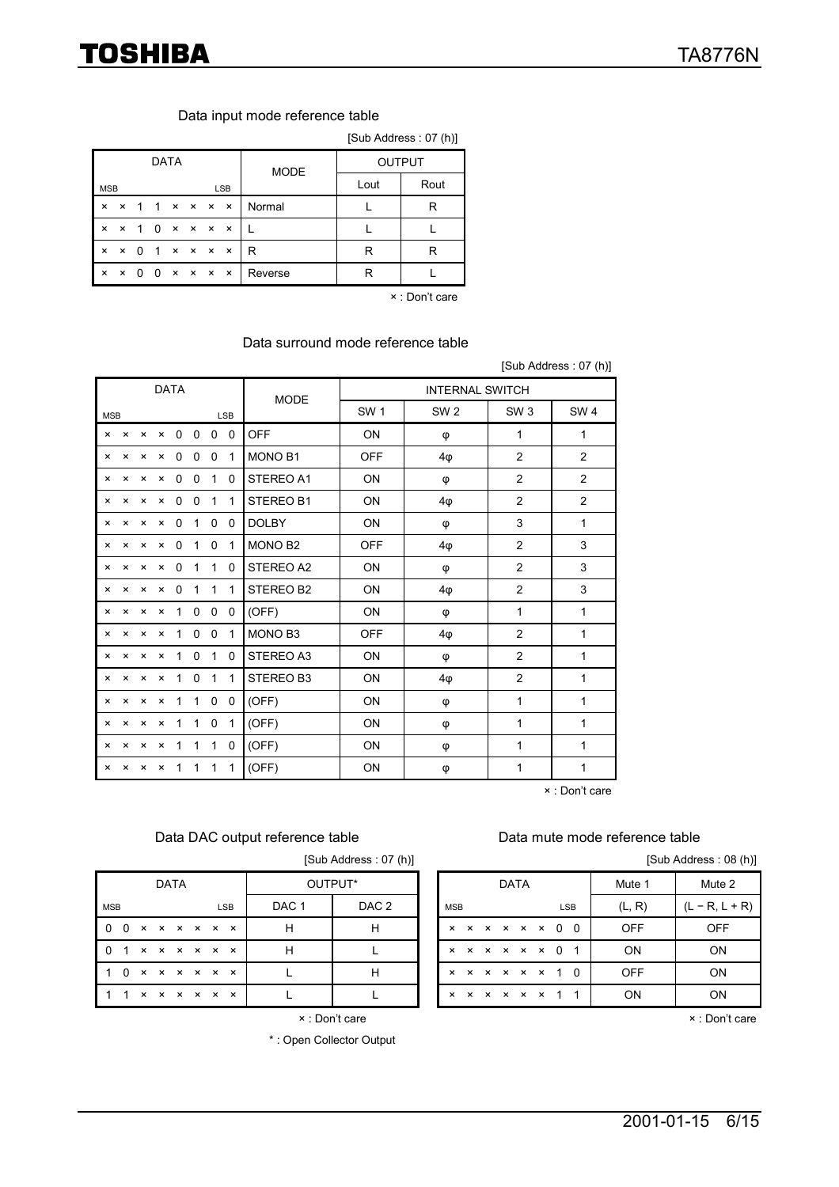#### Data input mode reference table

|                           | [Sub Address: 07 (h)]     |                |                |             |  |                                     |            |             |      |               |  |  |  |  |
|---------------------------|---------------------------|----------------|----------------|-------------|--|-------------------------------------|------------|-------------|------|---------------|--|--|--|--|
|                           |                           |                |                | <b>DATA</b> |  |                                     |            | <b>MODE</b> |      | <b>OUTPUT</b> |  |  |  |  |
| <b>MSB</b>                |                           |                |                |             |  |                                     | <b>LSB</b> |             | Lout | Rout          |  |  |  |  |
| $\boldsymbol{\mathsf{x}}$ | ×                         | $\overline{1}$ | $\overline{1}$ |             |  | $\times$ $\times$ $\times$ $\times$ |            | Normal      |      | R             |  |  |  |  |
| $\boldsymbol{\mathsf{x}}$ | $\boldsymbol{\mathsf{x}}$ | $\overline{1}$ | $\Omega$       |             |  | $\times$ $\times$ $\times$ $\times$ |            |             |      |               |  |  |  |  |
| $\boldsymbol{\mathsf{x}}$ | ×                         | 0              | $\overline{1}$ |             |  | $\times$ $\times$ $\times$ $\times$ |            | R           | R    | R             |  |  |  |  |
| $\boldsymbol{\mathsf{x}}$ | ×                         | <sup>0</sup>   | <sup>0</sup>   |             |  | $\times$ $\times$ $\times$ $\times$ |            | Reverse     | R    |               |  |  |  |  |

× : Don't care

#### Data surround mode reference table

[Sub Address : 07 (h)] DATA INTERNAL SWITCH MSB LSB MODE SW 1 | SW 2 | SW 3 | SW 4 × × × × 0 0 0 0 OFF ON φ 1 1 × × × × 0 0 0 1 MONO B1 OFF 4φ 2 2 × × × × 0 0 1 0 STEREO A1 ON φ 2 2 × × × × 0 0 1 1 STEREO B1 ON 4φ 2 2 × × × × 0 1 0 0 DOLBY ON φ 3 1 × × × × 0 1 0 1 MONO B2 OFF 4φ 2 3 × × × × 0 1 1 0 STEREO A2 ON φ 2 3 × × × × 0 1 1 1 STEREO B2 ON 4φ 2 3 × × × × 1 0 0 0 (OFF) ON φ 1 1 × × × × 1 0 0 1 MONO B3 OFF 4φ 2 1 × × × × 1 0 1 0 STEREO A3 ON φ 2 1 × × × × 1 0 1 1 STEREO B3 ON 4φ 2 1 × × × × 1 1 0 0 (OFF) ON φ 1 1 × × × × 1 1 0 1 (OFF) ON φ 1 1 × × × × 1 1 1 0 (OFF) ON φ 1 1 × × × × 1 1 1 1 (OFF) ON φ 1 1

× : Don't care

#### Data DAC output reference table Data mute mode reference table

|  | [Sub Address: 07 (h) |  |  |
|--|----------------------|--|--|

|                 |  | DATA |  |            | OUTPUT* |       |                 |  | DATA                             |  |                                  | Mute 1     | Mute 2       |
|-----------------|--|------|--|------------|---------|-------|-----------------|--|----------------------------------|--|----------------------------------|------------|--------------|
| <b>MSB</b>      |  |      |  | <b>LSB</b> | DAC 1   | DAC 2 | <b>MSB</b>      |  |                                  |  | <b>LSB</b>                       | (L, R)     | $(L - R, L)$ |
| 0 0 x x x x x x |  |      |  |            | н       | H     |                 |  |                                  |  | $x \times x \times x \times 0$ 0 | <b>OFF</b> | <b>OFF</b>   |
| 0 1 x x x x x x |  |      |  |            | н       |       |                 |  | $x \times x \times x \times 0$ 1 |  |                                  | ON         | <b>ON</b>    |
| 1 0 x x x x x x |  |      |  |            |         | H     |                 |  |                                  |  | x x x x x x 1 0                  | <b>OFF</b> | <b>ON</b>    |
| 1 1 x x x x x x |  |      |  |            |         |       | x x x x x x 1 1 |  |                                  |  |                                  | <b>ON</b>  | <b>ON</b>    |

× : Don't care

\* : Open Collector Output

[Sub Address : 08 (h)]

| <b>DATA</b>    |             |  |  |            | OUTPUT* |                  |  | <b>DATA</b>               |  |               |  |  |  |  |                                  | Mute 1     | Mute 2           |
|----------------|-------------|--|--|------------|---------|------------------|--|---------------------------|--|---------------|--|--|--|--|----------------------------------|------------|------------------|
| <b>MSB</b>     |             |  |  | <b>LSB</b> | DAC 1   | DAC <sub>2</sub> |  | <b>MSB</b>                |  |               |  |  |  |  | <b>LSB</b>                       | (L, R)     | $(L - R, L + R)$ |
| $0\quad 0$     | x x x x x x |  |  |            | н       | H                |  |                           |  |               |  |  |  |  | $x \times x \times x \times 0$ 0 | <b>OFF</b> | <b>OFF</b>       |
| 0 <sub>1</sub> | x x x x x x |  |  |            | н       |                  |  | $\mathsf{x}$              |  |               |  |  |  |  | $x \times x \times x \times 0$ 1 | ON         | ON               |
| 1 0            | x x x x x x |  |  |            |         | H                |  | $\mathsf{x}$              |  |               |  |  |  |  | x x x x x 1 0                    | <b>OFF</b> | <b>ON</b>        |
| $1 \quad 1$    | x x x x x x |  |  |            |         |                  |  | $\boldsymbol{\mathsf{x}}$ |  | x x x x x 1 1 |  |  |  |  |                                  | ON         | ON               |

× : Don't care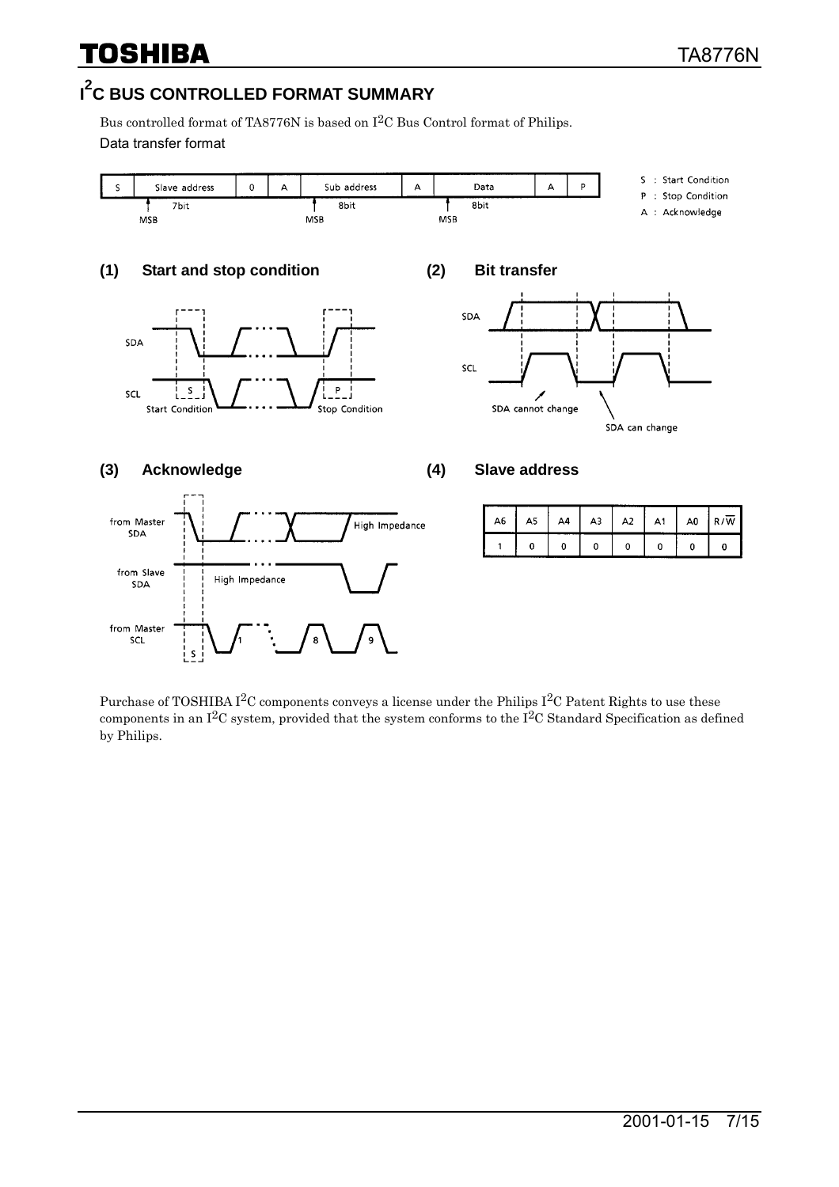### **I 2 C BUS CONTROLLED FORMAT SUMMARY**

Bus controlled format of TA8776N is based on I2C Bus Control format of Philips. Data transfer format



Purchase of TOSHIBA I<sup>2</sup>C components conveys a license under the Philips I<sup>2</sup>C Patent Rights to use these components in an  $I^2C$  system, provided that the system conforms to the  $I^2C$  Standard Specification as defined by Philips.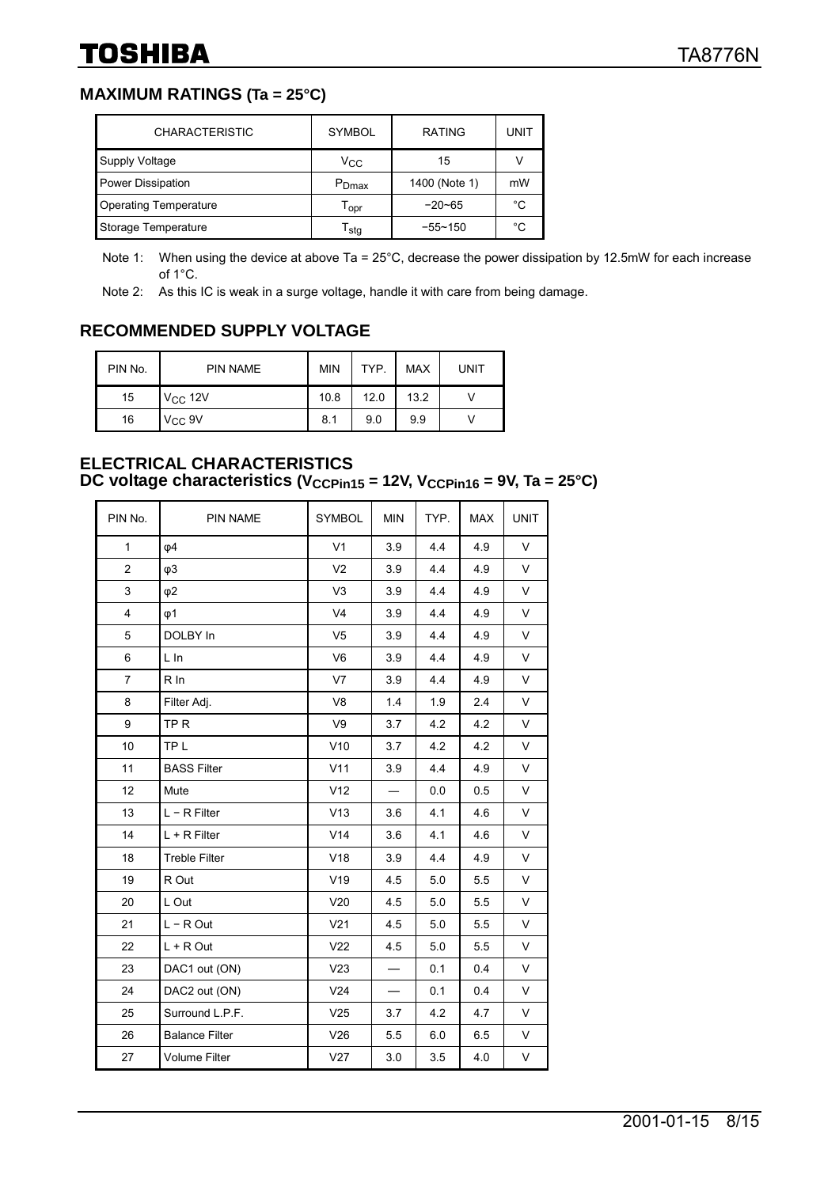#### **MAXIMUM RATINGS (Ta = 25°C)**

| <b>CHARACTERISTIC</b>        | <b>SYMBOL</b>               | <b>RATING</b> | UNIT |
|------------------------------|-----------------------------|---------------|------|
| Supply Voltage               | Vcc                         | 15            |      |
| Power Dissipation            | P <sub>Dmax</sub>           | 1400 (Note 1) | mW   |
| <b>Operating Temperature</b> | $\mathsf{T}_{\mathsf{OPT}}$ | $-20 - 65$    | °C   |
| Storage Temperature          | $\mathsf{T}_{\textsf{stg}}$ | $-55 - 150$   | °C   |

Note 1: When using the device at above Ta = 25°C, decrease the power dissipation by 12.5mW for each increase of 1°C.

Note 2: As this IC is weak in a surge voltage, handle it with care from being damage.

#### **RECOMMENDED SUPPLY VOLTAGE**

| PIN No. | <b>PIN NAME</b> | <b>MIN</b> | TYP. | <b>MAX</b> | <b>UNIT</b> |
|---------|-----------------|------------|------|------------|-------------|
| 15      | $V_{CC}$ 12V    | 10.8       | 12.0 | 13.2       |             |
| 16      | $V_{CC}$ 9V     | 8.1        | 9.0  | 9.9        |             |

#### **ELECTRICAL CHARACTERISTICS**  DC voltage characteristics (V<sub>CCPin15</sub> = 12V, V<sub>CCPin16</sub> = 9V, Ta = 25°C)

| PIN No.        | <b>PIN NAME</b>       | <b>SYMBOL</b>   | <b>MIN</b>               | TYP. | <b>MAX</b> | <b>UNIT</b> |
|----------------|-----------------------|-----------------|--------------------------|------|------------|-------------|
| $\mathbf{1}$   | $\varphi$ 4           | V <sub>1</sub>  | 3.9                      | 4.4  | 4.9        | $\vee$      |
| $\overline{c}$ | $\varphi$ 3           | V <sub>2</sub>  | 3.9                      | 4.4  | 4.9        | V           |
| $\mathsf 3$    | $\varphi$ 2           | V <sub>3</sub>  | 3.9                      | 4.4  | 4.9        | V           |
| 4              | $\varphi$ 1           | V <sub>4</sub>  | 3.9                      | 4.4  | 4.9        | V           |
| 5              | DOLBY In              | V <sub>5</sub>  | 3.9                      | 4.4  | 4.9        | V           |
| 6              | L In                  | V <sub>6</sub>  | 3.9                      | 4.4  | 4.9        | V           |
| $\overline{7}$ | $R$ In                | V <sub>7</sub>  | 3.9                      | 4.4  | 4.9        | V           |
| 8              | Filter Adj.           | V <sub>8</sub>  | 1.4                      | 1.9  | 2.4        | V           |
| 9              | TP <sub>R</sub>       | V9              | 3.7                      | 4.2  | 4.2        | V           |
| 10             | TP <sub>L</sub>       | V10             | 3.7                      | 4.2  | 4.2        | V           |
| 11             | <b>BASS Filter</b>    | V11             | 3.9                      | 4.4  | 4.9        | V           |
| 12             | Mute                  | V12             |                          | 0.0  | 0.5        | V           |
| 13             | $L - R$ Filter        | V13             | 3.6                      | 4.1  | 4.6        | V           |
| 14             | $L + R$ Filter        | V14             | 3.6                      | 4.1  | 4.6        | V           |
| 18             | <b>Treble Filter</b>  | V18             | 3.9                      | 4.4  | 4.9        | V           |
| 19             | R Out                 | V19             | 4.5                      | 5.0  | 5.5        | V           |
| 20             | L Out                 | V20             | 4.5                      | 5.0  | 5.5        | V           |
| 21             | $L - R$ Out           | V <sub>21</sub> | 4.5                      | 5.0  | 5.5        | V           |
| 22             | $L + R$ Out           | V <sub>22</sub> | 4.5                      | 5.0  | 5.5        | V           |
| 23             | DAC1 out (ON)         | V23             |                          | 0.1  | 0.4        | V           |
| 24             | DAC2 out (ON)         | V24             | $\overline{\phantom{0}}$ | 0.1  | 0.4        | V           |
| 25             | Surround L.P.F.       | V25             | 3.7                      | 4.2  | 4.7        | V           |
| 26             | <b>Balance Filter</b> | V26             | 5.5                      | 6.0  | 6.5        | V           |
| 27             | <b>Volume Filter</b>  | V27             | 3.0                      | 3.5  | 4.0        | V           |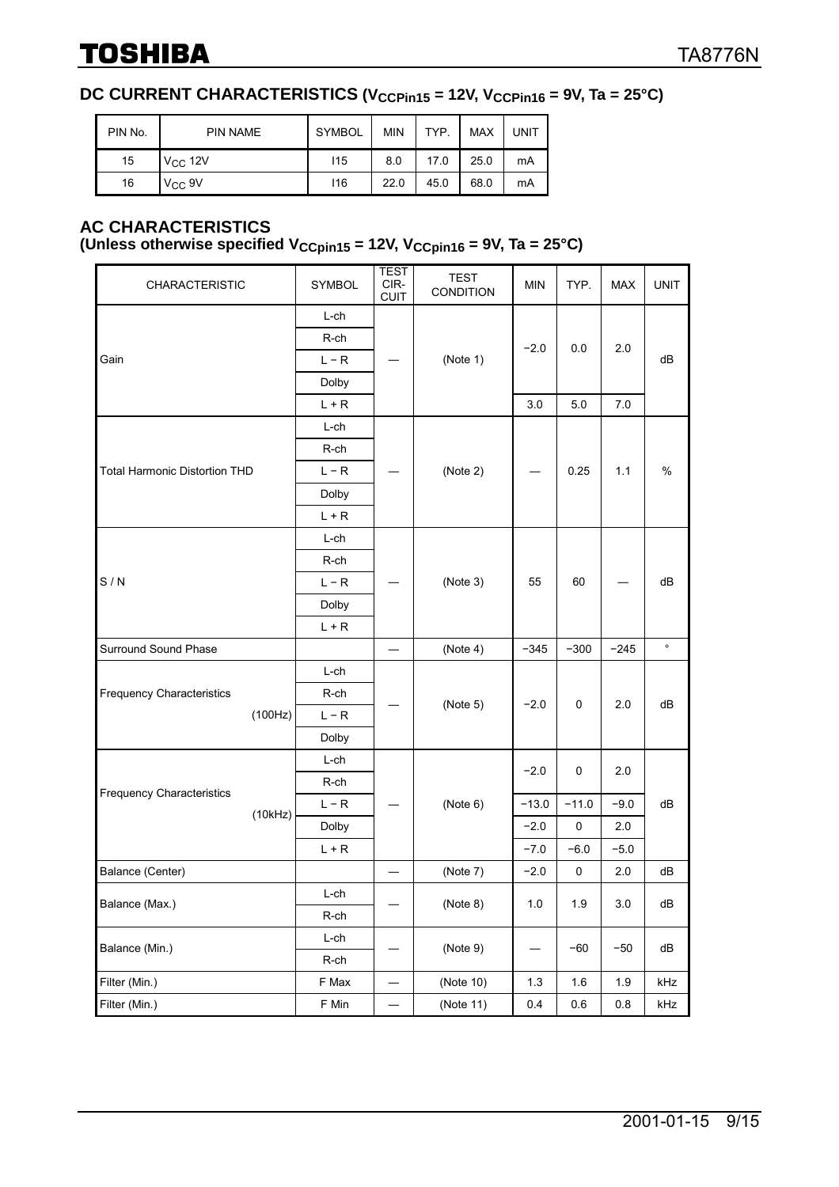#### **DC CURRENT CHARACTERISTICS (V<sub>CCPin15</sub> = 12V, V<sub>CCPin16</sub> = 9V, Ta = 25°C)**

| PIN No. | <b>PIN NAME</b> | <b>SYMBOL</b> | <b>MIN</b> | TYP. | <b>MAX</b> | <b>UNIT</b> |
|---------|-----------------|---------------|------------|------|------------|-------------|
| 15      | $V_{CC}$ 12V    | 115           | 8.0        | 17.0 | 25.0       | mA          |
| 16      | $V_{CC}$ 9V     | 116           | 22.0       | 45.0 | 68.0       | mA          |

#### **AC CHARACTERISTICS**

#### (Unless otherwise specified  $V_{CCpin15} = 12V$ ,  $V_{CCpin16} = 9V$ , Ta = 25°C)

| <b>CHARACTERISTIC</b>                       | <b>SYMBOL</b> | <b>TEST</b><br>CIR-<br><b>CUIT</b> | <b>TEST</b><br>CONDITION                                                                                                                                                                                                                                                                                                                                                                                                                                                           | <b>MIN</b> | TYP. | <b>MAX</b> | <b>UNIT</b> |  |
|---------------------------------------------|---------------|------------------------------------|------------------------------------------------------------------------------------------------------------------------------------------------------------------------------------------------------------------------------------------------------------------------------------------------------------------------------------------------------------------------------------------------------------------------------------------------------------------------------------|------------|------|------------|-------------|--|
|                                             | L-ch          |                                    |                                                                                                                                                                                                                                                                                                                                                                                                                                                                                    |            |      |            |             |  |
|                                             | R-ch          |                                    |                                                                                                                                                                                                                                                                                                                                                                                                                                                                                    |            |      |            | dB          |  |
| Gain                                        | $L - R$       |                                    | (Note 1)                                                                                                                                                                                                                                                                                                                                                                                                                                                                           |            |      |            |             |  |
|                                             | Dolby         |                                    |                                                                                                                                                                                                                                                                                                                                                                                                                                                                                    |            |      |            |             |  |
|                                             | $L + R$       |                                    | $-2.0$<br>2.0<br>0.0<br>7.0<br>3.0<br>5.0<br>(Note 2)<br>0.25<br>1.1<br>%<br>(Note 3)<br>55<br>60<br>dB<br>$\circ$<br>(Note 4)<br>$-345$<br>$-300$<br>$-245$<br>(Note 5)<br>$-2.0$<br>$\mathbf 0$<br>2.0<br>dB<br>$-2.0$<br>0<br>2.0<br>(Note 6)<br>$-13.0$<br>$-11.0$<br>$-9.0$<br>dB<br>$\pmb{0}$<br>$-2.0$<br>2.0<br>$-5.0$<br>$-7.0$<br>$-6.0$<br>0<br>dB<br>(Note 7)<br>$-2.0$<br>2.0<br>(Note 8)<br>$1.0\,$<br>1.9<br>$3.0\,$<br>dB<br>(Note 9)<br>$-60$<br>$-50$<br>dB<br>— |            |      |            |             |  |
|                                             | L-ch          |                                    |                                                                                                                                                                                                                                                                                                                                                                                                                                                                                    |            |      |            |             |  |
|                                             | R-ch          |                                    |                                                                                                                                                                                                                                                                                                                                                                                                                                                                                    |            |      |            |             |  |
| <b>Total Harmonic Distortion THD</b>        | $L - R$       |                                    |                                                                                                                                                                                                                                                                                                                                                                                                                                                                                    |            |      |            |             |  |
|                                             | Dolby         |                                    |                                                                                                                                                                                                                                                                                                                                                                                                                                                                                    |            |      |            |             |  |
|                                             | $L + R$       |                                    |                                                                                                                                                                                                                                                                                                                                                                                                                                                                                    |            |      |            |             |  |
|                                             | L-ch          |                                    |                                                                                                                                                                                                                                                                                                                                                                                                                                                                                    |            |      |            |             |  |
|                                             | R-ch          |                                    |                                                                                                                                                                                                                                                                                                                                                                                                                                                                                    |            |      |            |             |  |
| S/N                                         | $L - R$       |                                    |                                                                                                                                                                                                                                                                                                                                                                                                                                                                                    |            |      |            |             |  |
|                                             | Dolby         |                                    |                                                                                                                                                                                                                                                                                                                                                                                                                                                                                    |            |      |            |             |  |
|                                             | $L + R$       |                                    |                                                                                                                                                                                                                                                                                                                                                                                                                                                                                    |            |      |            |             |  |
| Surround Sound Phase                        |               |                                    |                                                                                                                                                                                                                                                                                                                                                                                                                                                                                    |            |      |            |             |  |
|                                             | L-ch          |                                    |                                                                                                                                                                                                                                                                                                                                                                                                                                                                                    |            |      |            |             |  |
| <b>Frequency Characteristics</b>            | R-ch          |                                    |                                                                                                                                                                                                                                                                                                                                                                                                                                                                                    |            |      |            |             |  |
| (100 Hz)                                    | $L - R$       |                                    |                                                                                                                                                                                                                                                                                                                                                                                                                                                                                    |            |      |            |             |  |
|                                             | Dolby         |                                    |                                                                                                                                                                                                                                                                                                                                                                                                                                                                                    |            |      |            |             |  |
|                                             | L-ch          |                                    |                                                                                                                                                                                                                                                                                                                                                                                                                                                                                    |            |      |            |             |  |
|                                             | R-ch          |                                    |                                                                                                                                                                                                                                                                                                                                                                                                                                                                                    |            |      |            |             |  |
| <b>Frequency Characteristics</b><br>(10kHz) | $L - R$       |                                    |                                                                                                                                                                                                                                                                                                                                                                                                                                                                                    |            |      |            |             |  |
|                                             | Dolby         |                                    |                                                                                                                                                                                                                                                                                                                                                                                                                                                                                    |            |      |            |             |  |
|                                             | $L + R$       |                                    |                                                                                                                                                                                                                                                                                                                                                                                                                                                                                    |            |      |            |             |  |
| Balance (Center)                            |               |                                    |                                                                                                                                                                                                                                                                                                                                                                                                                                                                                    |            |      |            |             |  |
| Balance (Max.)                              | L-ch          |                                    |                                                                                                                                                                                                                                                                                                                                                                                                                                                                                    |            |      |            |             |  |
|                                             | R-ch          |                                    |                                                                                                                                                                                                                                                                                                                                                                                                                                                                                    |            |      |            |             |  |
|                                             | $L$ -ch       |                                    |                                                                                                                                                                                                                                                                                                                                                                                                                                                                                    |            |      |            |             |  |
| Balance (Min.)                              | R-ch          |                                    |                                                                                                                                                                                                                                                                                                                                                                                                                                                                                    |            |      |            |             |  |
| Filter (Min.)                               | F Max         | $\overline{\phantom{0}}$           | (Note 10)                                                                                                                                                                                                                                                                                                                                                                                                                                                                          | $1.3$      | 1.6  | 1.9        | kHz         |  |
| Filter (Min.)                               | F Min         |                                    | (Note 11)                                                                                                                                                                                                                                                                                                                                                                                                                                                                          | 0.4        | 0.6  | 0.8        | kHz         |  |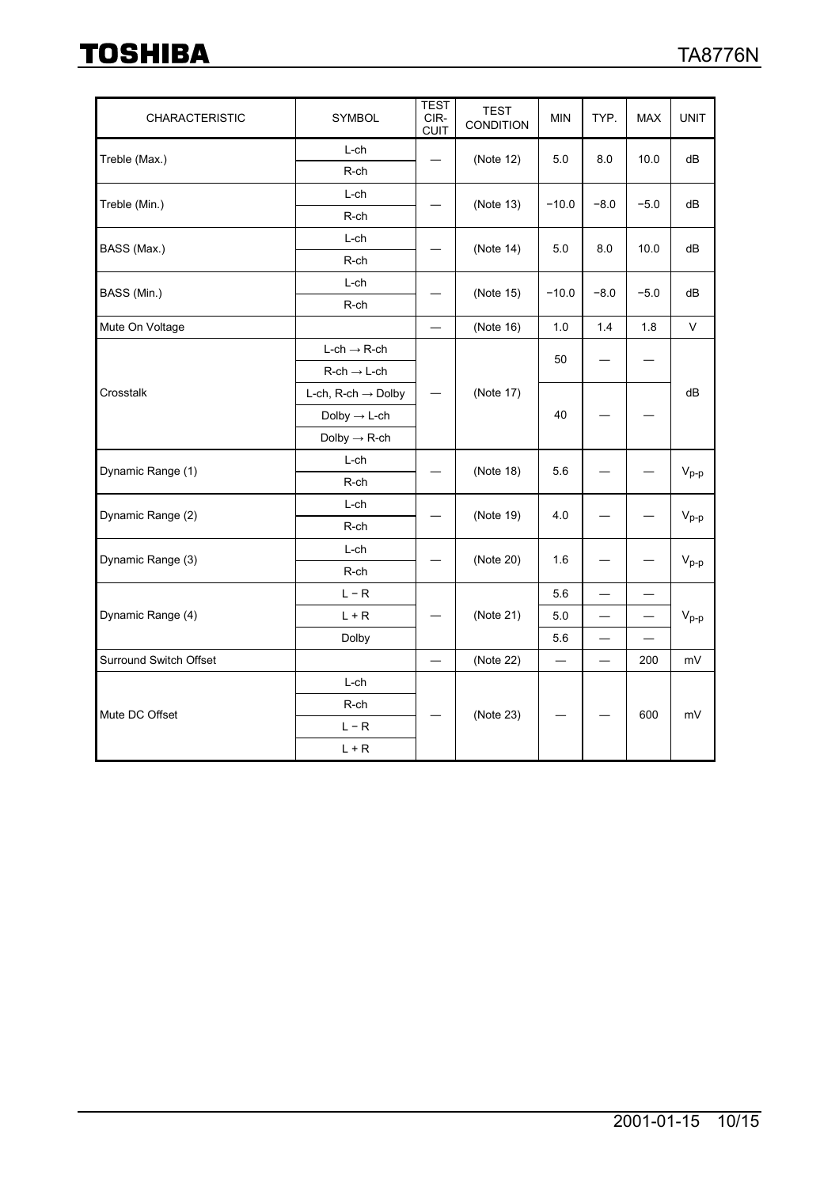| <b>CHARACTERISTIC</b>  | <b>SYMBOL</b>                         | <b>TEST</b><br>CIR-<br><b>CUIT</b> | <b>TEST</b><br><b>CONDITION</b> | <b>MIN</b> | TYP.                     | <b>MAX</b> | <b>UNIT</b>                                 |  |
|------------------------|---------------------------------------|------------------------------------|---------------------------------|------------|--------------------------|------------|---------------------------------------------|--|
| Treble (Max.)          | L-ch                                  |                                    | (Note 12)                       | 5.0        | 8.0                      | 10.0       | dB                                          |  |
|                        | R-ch                                  |                                    |                                 |            |                          |            |                                             |  |
| Treble (Min.)          | $L$ -ch                               |                                    | (Note 13)                       | $-10.0$    | $-8.0$                   | $-5.0$     | dB                                          |  |
|                        | R-ch                                  |                                    |                                 |            |                          |            |                                             |  |
| BASS (Max.)            | L-ch                                  |                                    | (Note 14)                       | 5.0        | 8.0                      | 10.0       | dB                                          |  |
|                        | R-ch                                  |                                    |                                 |            |                          |            |                                             |  |
| BASS (Min.)            | L-ch                                  |                                    | (Note 15)                       | $-10.0$    | $-8.0$                   | $-5.0$     | dB                                          |  |
|                        | R-ch                                  |                                    |                                 |            |                          |            |                                             |  |
| Mute On Voltage        | $\overline{\phantom{0}}$              | (Note 16)                          | 1.0                             | 1.4        | 1.8                      | V          |                                             |  |
|                        | $L\text{-}ch \rightarrow R\text{-}ch$ |                                    |                                 | 50         |                          |            |                                             |  |
|                        | $R$ -ch $\rightarrow$ L-ch            |                                    |                                 |            |                          |            |                                             |  |
| Crosstalk              | L-ch, R-ch $\rightarrow$ Dolby        | $\overbrace{\phantom{13333}}$      | (Note 17)                       |            |                          |            | dB                                          |  |
|                        | Dolby $\rightarrow$ L-ch              |                                    |                                 | 40         |                          |            |                                             |  |
|                        | Dolby $\rightarrow$ R-ch              |                                    |                                 |            |                          |            |                                             |  |
| Dynamic Range (1)      | L-ch                                  |                                    | (Note 18)                       | 5.6        |                          |            |                                             |  |
|                        | R-ch                                  |                                    |                                 |            |                          |            | $V_{p-p}$                                   |  |
| Dynamic Range (2)      | L-ch                                  |                                    | (Note 19)                       | 4.0        |                          |            |                                             |  |
|                        | R-ch                                  |                                    |                                 |            |                          |            | $\mathsf{V}_{\mathsf{p}\text{-}\mathsf{p}}$ |  |
| Dynamic Range (3)      | L-ch                                  |                                    | (Note 20)                       | 1.6        |                          |            |                                             |  |
|                        | R-ch                                  |                                    |                                 |            |                          |            | $V_{p-p}$                                   |  |
|                        | $L - R$                               |                                    |                                 | 5.6        |                          |            |                                             |  |
| Dynamic Range (4)      | $L + R$                               |                                    | (Note 21)                       | 5.0        |                          |            | $V_{p-p}$                                   |  |
|                        | Dolby                                 |                                    |                                 | 5.6        |                          |            |                                             |  |
| Surround Switch Offset |                                       |                                    | (Note 22)                       |            | $\overline{\phantom{0}}$ | 200        | mV                                          |  |
|                        | L-ch                                  |                                    |                                 |            |                          |            |                                             |  |
| Mute DC Offset         | R-ch                                  |                                    | (Note 23)                       |            |                          | 600        | mV                                          |  |
|                        | $L - R$                               |                                    |                                 |            |                          |            |                                             |  |
|                        | $L + R$                               |                                    |                                 |            |                          |            |                                             |  |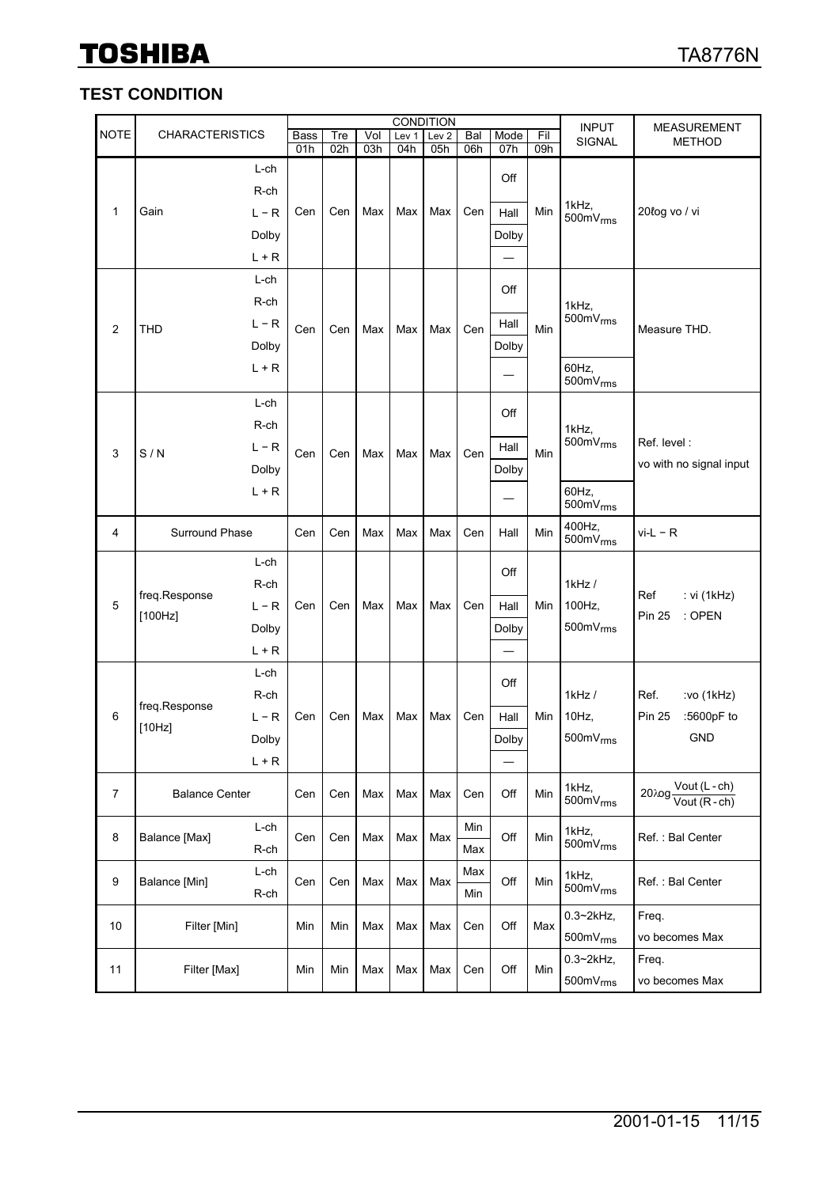#### **TEST CONDITION**

|             | <b>CONDITION</b>         |                 |             |     |     |       |                  |            | <b>INPUT</b> | <b>MEASUREMENT</b> |                                  |                                                                      |
|-------------|--------------------------|-----------------|-------------|-----|-----|-------|------------------|------------|--------------|--------------------|----------------------------------|----------------------------------------------------------------------|
| <b>NOTE</b> | <b>CHARACTERISTICS</b>   |                 | <b>Bass</b> | Tre | Vol | Lev 1 | Lev <sub>2</sub> | Bal        | Mode         | Fil                | SIGNAL                           | <b>METHOD</b>                                                        |
|             |                          |                 | 01h         | 02h | 03h | 04h   | 05h              | 06h        | 07h          | 09h                |                                  |                                                                      |
|             |                          | L-ch            |             |     |     |       |                  |            | Off          |                    |                                  |                                                                      |
| 1           |                          | R-ch<br>$L - R$ | Cen         | Cen | Max | Max   | Max              | Cen        | Hall         | Min                | 1kHz,                            | 20łog vo / vi                                                        |
|             | Gain                     | Dolby           |             |     |     |       |                  |            | Dolby        |                    | 500 $mV$ <sub>rms</sub>          |                                                                      |
|             |                          | $L + R$         |             |     |     |       |                  |            |              |                    |                                  |                                                                      |
|             |                          | L-ch            |             |     |     |       |                  |            |              |                    |                                  |                                                                      |
|             |                          | R-ch            |             |     |     |       |                  |            | Off          |                    | 1kHz,                            |                                                                      |
| 2           | <b>THD</b>               | $L - R$         | Cen         | Cen | Max | Max   | Max              | Cen        | Hall         | Min                | $500mV$ <sub>rms</sub>           | Measure THD.                                                         |
|             |                          | Dolby           |             |     |     |       |                  |            | Dolby        |                    |                                  |                                                                      |
|             |                          | $L + R$         |             |     |     |       |                  |            |              |                    | 60Hz,                            |                                                                      |
|             |                          |                 |             |     |     |       |                  |            |              |                    | $500mV$ <sub>rms</sub>           |                                                                      |
|             |                          | $L$ -ch<br>R-ch |             |     |     |       |                  |            | Off          |                    |                                  |                                                                      |
|             | S/N                      | $L - R$         | Cen         | Cen | Max | Max   | Max              |            | Hall         |                    | 1kHz,<br>$500mV$ <sub>rms</sub>  | Ref. level:                                                          |
| 3           |                          | Dolby           |             |     |     |       |                  | Cen        | Dolby        | Min                |                                  | vo with no signal input                                              |
|             |                          | $L + R$         |             |     |     |       |                  |            |              |                    | 60Hz,                            |                                                                      |
|             |                          |                 |             |     |     |       |                  |            |              |                    | 500mV <sub>rms</sub>             |                                                                      |
| 4           | Surround Phase           |                 | Cen         | Cen | Max | Max   | Max              | Cen        | Hall         | Min                | 400Hz,<br>$500mV$ <sub>rms</sub> | $vi-L - R$                                                           |
|             | freq.Response<br>[100Hz] | L-ch            | Cen         |     |     | Max   | Max              |            | Off          |                    |                                  |                                                                      |
|             |                          | R-ch            |             | Cen | Max |       |                  | Cen        |              |                    | $1$ kHz $/$                      | : vi (1kHz)<br>Ref                                                   |
| 5           |                          | $L - R$         |             |     |     |       |                  |            | Hall         | Min                | 100Hz,                           | : OPEN<br><b>Pin 25</b>                                              |
|             |                          | Dolby           |             |     |     |       |                  |            | Dolby        |                    | $500mV$ <sub>rms</sub>           |                                                                      |
|             |                          | $L + R$         |             |     |     |       |                  |            |              |                    |                                  |                                                                      |
|             |                          | L-ch            |             |     |     |       |                  |            | Off          |                    |                                  |                                                                      |
|             | freq.Response            | R-ch            |             |     |     |       |                  |            |              |                    | 1kHz/                            | Ref.<br>:vo (1kHz)                                                   |
| 6           | [10Hz]                   | L – R           | Cen         | Cen | Max | Max   | Max              | Cen        | Hall         | Min                | 10Hz,                            | :5600pF to<br><b>Pin 25</b>                                          |
|             |                          | Dolby           |             |     |     |       |                  |            | Dolby        |                    | $500mV$ <sub>rms</sub>           | <b>GND</b>                                                           |
|             |                          | L + R           |             |     |     |       |                  |            |              |                    |                                  |                                                                      |
| 7           | <b>Balance Center</b>    |                 | Cen         | Cen | Max | Max   | Max              | Cen        | Off          | Min                | 1kHz,<br>$500mV$ <sub>rms</sub>  | Vout (L-ch)<br>$20 \text{log} \frac{\sqrt{200}}{\text{Vout (R-ch)}}$ |
| 8           | Balance [Max]            | L-ch            | Cen         | Cen | Max | Max   | Max              | Min        | Off          | Min                | 1kHz,                            | Ref.: Bal Center                                                     |
|             |                          | R-ch            |             |     |     |       |                  | Max        |              |                    | $500 \text{mV}_{\text{rms}}$     |                                                                      |
| 9           | Balance [Min]            | L-ch<br>R-ch    | Cen         | Cen | Max | Max   | Max              | Max<br>Min | Off          | Min                | 1kHz,<br>500mV <sub>rms</sub>    | Ref.: Bal Center                                                     |
| 10          |                          |                 |             |     |     |       |                  |            |              |                    | $0.3 \sim 2$ kHz,                | Freq.                                                                |
|             |                          | Filter [Min]    | Min         | Min | Max | Max   | Max              | Cen        | Off          | Max                | $500mV$ <sub>rms</sub>           | vo becomes Max                                                       |
| 11          | Filter [Max]             |                 | Min         | Min | Max | Max   | Max              | Cen        | Off          | Min                | $0.3 \sim 2$ kHz,                | Freq.                                                                |
|             |                          |                 |             |     |     |       |                  |            |              |                    | $500mV$ <sub>rms</sub>           | vo becomes Max                                                       |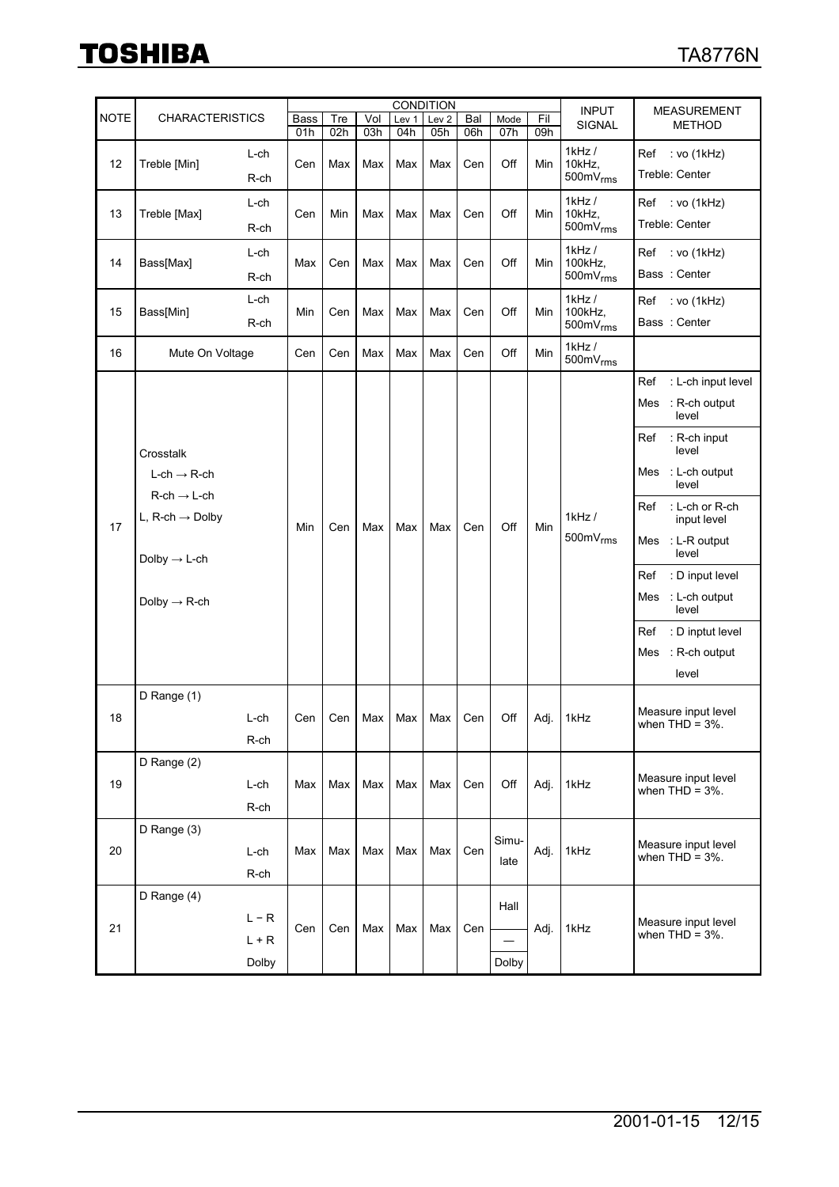|             | <b>CONDITION</b>                                                                                                                                          |                             |             |            |            |              |                  |            |               |            | <b>INPUT</b>                                     | <b>MEASUREMENT</b>                                                                                                                                                                                                                                                                                                         |
|-------------|-----------------------------------------------------------------------------------------------------------------------------------------------------------|-----------------------------|-------------|------------|------------|--------------|------------------|------------|---------------|------------|--------------------------------------------------|----------------------------------------------------------------------------------------------------------------------------------------------------------------------------------------------------------------------------------------------------------------------------------------------------------------------------|
| <b>NOTE</b> | <b>CHARACTERISTICS</b>                                                                                                                                    |                             | <b>Bass</b> | Tre<br>02h | Vol<br>03h | Lev 1<br>04h | Lev <sub>2</sub> | Bal        | Mode          | Fil<br>09h | SIGNAL                                           | <b>METHOD</b>                                                                                                                                                                                                                                                                                                              |
| 12          | Treble [Min]                                                                                                                                              | L-ch<br>R-ch                | 01h<br>Cen  | Max        | Max        | Max          | 05h<br>Max       | 06h<br>Cen | 07h<br>Off    | Min        | $1$ kHz $/$<br>10kHz,<br>$500mV$ <sub>rms</sub>  | :vo (1kHz)<br>Ref<br>Treble: Center                                                                                                                                                                                                                                                                                        |
| 13          | Treble [Max]                                                                                                                                              | L-ch<br>R-ch                | Cen         | Min        | Max        | Max          | Max              | Cen        | Off           | Min        | $1$ kHz /<br>10kHz,<br>$500mV$ <sub>rms</sub>    | Ref : vo (1kHz)<br>Treble: Center                                                                                                                                                                                                                                                                                          |
| 14          | Bass[Max]                                                                                                                                                 | L-ch<br>R-ch                | Max         | Cen        | Max        | Max          | Max              | Cen        | Off           | Min        | $1$ kHz $/$<br>100kHz,<br>$500mV$ <sub>rms</sub> | Ref<br>$:$ vo (1kHz)<br>Bass: Center                                                                                                                                                                                                                                                                                       |
| 15          | Bass[Min]                                                                                                                                                 | L-ch<br>R-ch                | Min         | Cen        | Max        | Max          | Max              | Cen        | Off           | Min        | $1$ kHz $/$<br>100kHz,<br>$500mV$ <sub>rms</sub> | Ref : vo (1kHz)<br>Bass: Center                                                                                                                                                                                                                                                                                            |
| 16          | Mute On Voltage                                                                                                                                           |                             | Cen         | Cen        | Max        | Max          | Max              | Cen        | Off           | Min        | $1$ kHz $/$<br>500mV <sub>rms</sub>              |                                                                                                                                                                                                                                                                                                                            |
| 17          | Crosstalk<br>$L-ch \rightarrow R-ch$<br>$R$ -ch $\rightarrow$ L-ch<br>L, R-ch $\rightarrow$ Dolby<br>Dolby $\rightarrow$ L-ch<br>Dolby $\rightarrow$ R-ch |                             | Min         | Cen        | Max        | Max          | Max              | Cen        | Off           | Min        | $1$ kHz /<br>$500mV$ <sub>rms</sub>              | : L-ch input level<br>Ref<br>: R-ch output<br>Mes<br>level<br>Ref<br>: R-ch input<br>level<br>Mes<br>: L-ch output<br>level<br>: L-ch or R-ch<br>Ref<br>input level<br>: L-R output<br>Mes<br>level<br>: D input level<br>Ref<br>: L-ch output<br>Mes<br>level<br>: D inptut level<br>Ref<br>: R-ch output<br>Mes<br>level |
| 18          | D Range (1)                                                                                                                                               | L-ch<br>R-ch                | Cen         | Cen        | Max        | Max          | Max              | Cen        | Off           | Adj.       | 1kHz                                             | Measure input level<br>when $THD = 3\%$ .                                                                                                                                                                                                                                                                                  |
| 19          | D Range (2)                                                                                                                                               | L-ch<br>R-ch                | Max         | Max        | Max        | Max          | Max              | Cen        | Off           | Adj.       | 1kHz                                             | Measure input level<br>when $THD = 3\%$ .                                                                                                                                                                                                                                                                                  |
| 20          | D Range (3)                                                                                                                                               | L-ch<br>R-ch                | Max         | Max        | Max        | Max          | Max              | Cen        | Simu-<br>late | Adj.       | 1kHz                                             | Measure input level<br>when $THD = 3\%$ .                                                                                                                                                                                                                                                                                  |
| 21          | D Range (4)                                                                                                                                               | $L - R$<br>$L + R$<br>Dolby | Cen         | Cen        | Max        | Max          | Max              | Cen        | Hall<br>Dolby | Adj.       | 1kHz                                             | Measure input level<br>when $THD = 3\%$ .                                                                                                                                                                                                                                                                                  |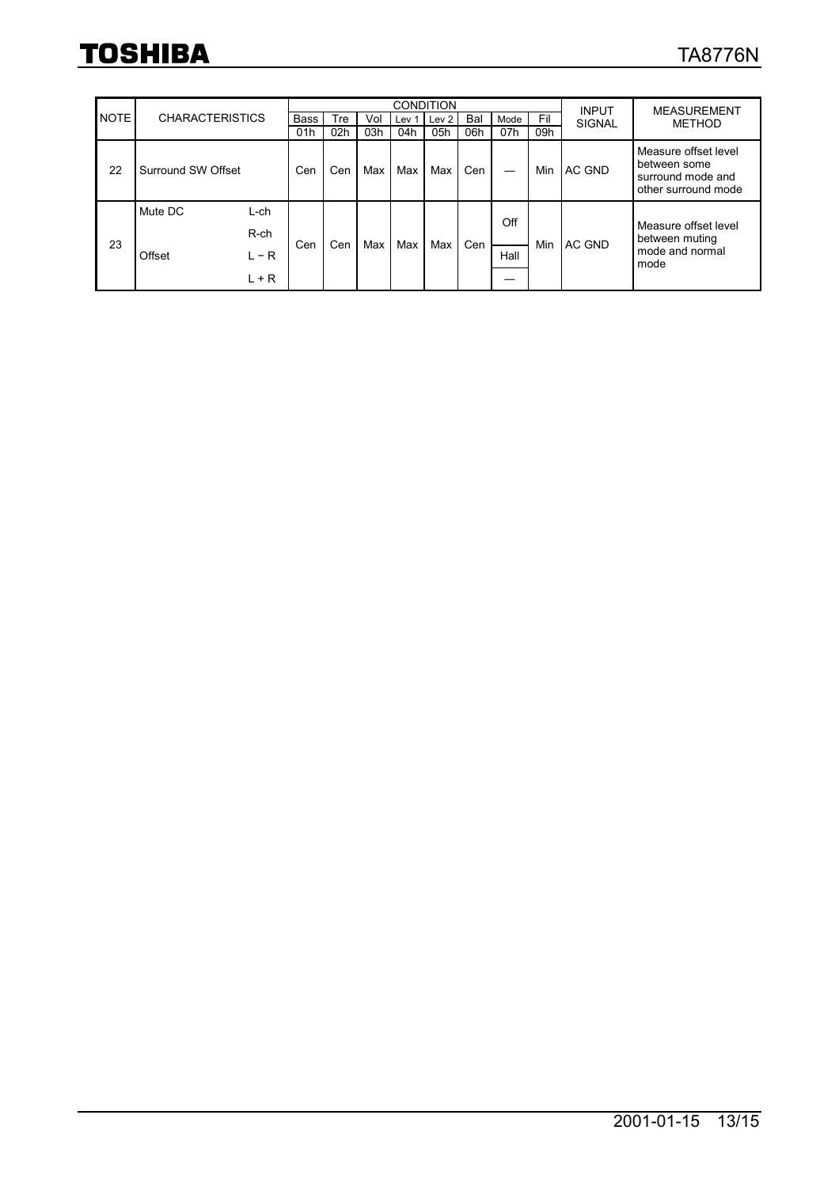|             |                        |                    |             |     | <b>CONDITION</b> | <b>INPUT</b>     | <b>MEASUREMENT</b> |     |      |     |               |                                                                                  |  |
|-------------|------------------------|--------------------|-------------|-----|------------------|------------------|--------------------|-----|------|-----|---------------|----------------------------------------------------------------------------------|--|
| <b>NOTE</b> | <b>CHARACTERISTICS</b> |                    | <b>Bass</b> | Tre | Vol              | Lev <sub>1</sub> | Lev <sub>2</sub>   | Bal | Mode | Fil | <b>SIGNAL</b> | <b>METHOD</b>                                                                    |  |
|             |                        |                    | 01h         | 02h | 03h              | 04h              | 05h                | 06h | 07h  | 09h |               |                                                                                  |  |
| 22          | Surround SW Offset     |                    | Cen         | Cen | Max              | Max              | Max                | Cen | –    | Min | AC GND        | Measure offset level<br>between some<br>surround mode and<br>other surround mode |  |
| 23          | Mute DC                | $L$ -ch<br>$R$ -ch |             |     | Max              | Max              |                    | Cen | Off  |     | AC GND        | Measure offset level<br>between muting<br>mode and normal<br>mode                |  |
|             | Offset                 |                    | Cen         | Cen |                  |                  | Max                |     |      | Min |               |                                                                                  |  |
|             |                        | $L - R$            |             |     |                  |                  |                    |     | Hall |     |               |                                                                                  |  |
|             |                        | $L + R$            |             |     |                  |                  |                    |     |      |     |               |                                                                                  |  |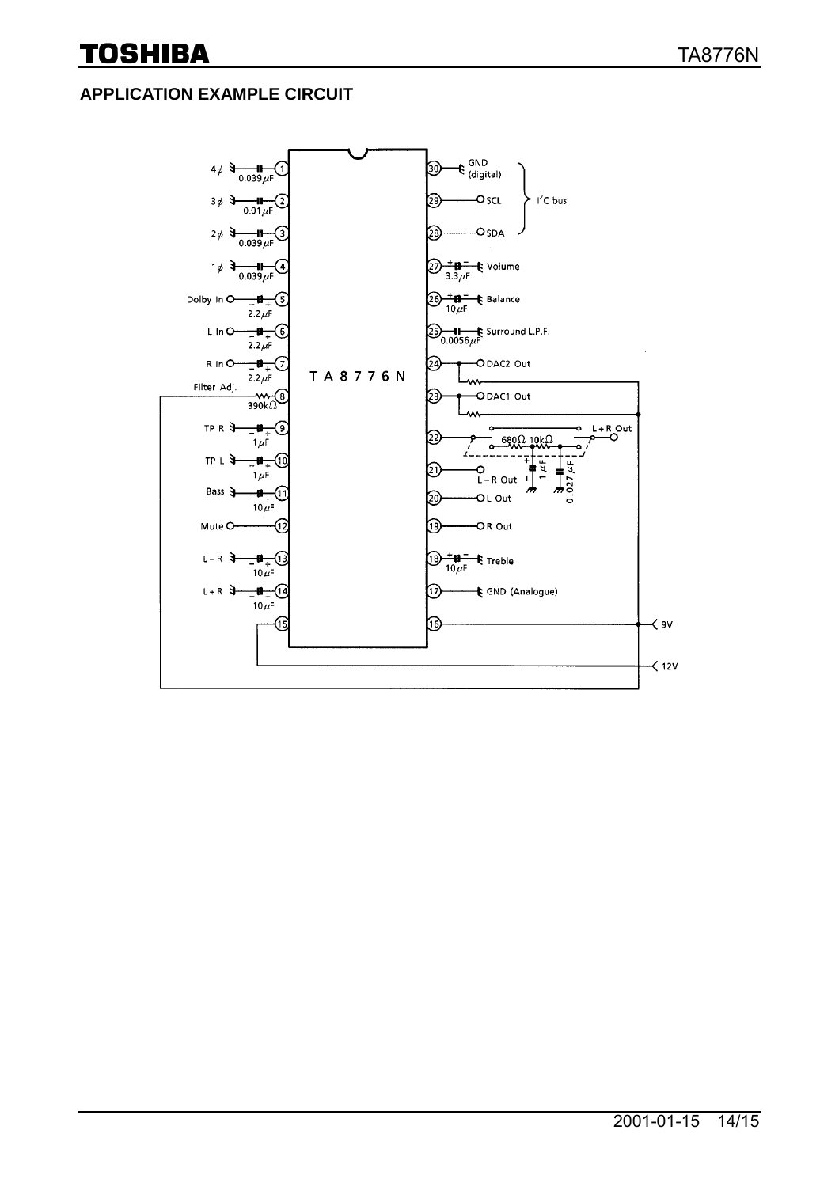#### **APPLICATION EXAMPLE CIRCUIT**